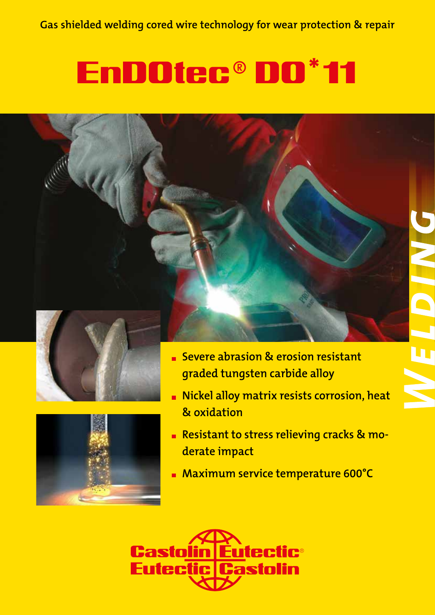# EnDOtec® DO 11 **\***







- **Severe abrasion & erosion resistant graded tungsten carbide alloy**
- **Nickel alloy matrix resists corrosion, heat & oxidation**
- **Resistant to stress relieving cracks & moderate impact**
- **Maximum service temperature 600°C**